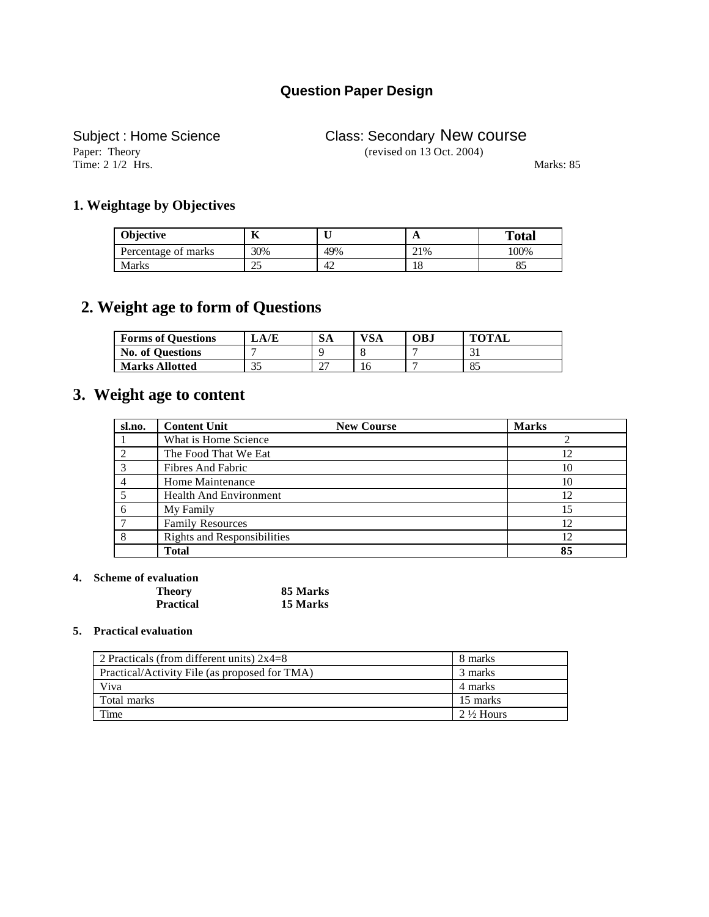## **Question Paper Design**

Paper: Theory (revised on 13 Oct. 2004) Time: 2 1/2 Hrs. Marks: 85

# Subject : Home Science Class: Secondary New course

#### **1. Weightage by Objectives**

| Objective           |     |     | A   | <b>Total</b> |
|---------------------|-----|-----|-----|--------------|
| Percentage of marks | 30% | 49% | 21% | 100%         |
| Marks               | ت   | 42  | 10  | ധ            |

## **2. Weight age to form of Questions**

| <b>Forms of Questions</b> | LA/E      | <b>SA</b>          | VSA | OB.I | <b>TOTAL</b> |
|---------------------------|-----------|--------------------|-----|------|--------------|
| <b>No. of Questions</b>   |           |                    |     |      | $\sim$       |
| <b>Marks Allotted</b>     | 25<br>ر ر | $\sim$<br><u>.</u> | 16  |      | 85           |

### **3. Weight age to content**

| sl.no.          | <b>Content Unit</b><br><b>New Course</b> | <b>Marks</b> |
|-----------------|------------------------------------------|--------------|
|                 | What is Home Science                     |              |
|                 | The Food That We Eat                     | 12           |
| $\mathcal{R}$   | Fibres And Fabric                        | 10           |
|                 | Home Maintenance                         | 10           |
|                 | <b>Health And Environment</b>            | 12           |
| 6               | My Family                                | 15           |
| $\mathbf{\tau}$ | <b>Family Resources</b>                  | 12           |
| 8               | <b>Rights and Responsibilities</b>       | 12           |
|                 | <b>Total</b>                             | 85           |

#### **4. Scheme of evaluation**

| <b>Theory</b>    | 85 Marks |
|------------------|----------|
| <b>Practical</b> | 15 Marks |

#### **5. Practical evaluation**

| 2 Practicals (from different units) $2x4=8$   | 8 marks              |
|-----------------------------------------------|----------------------|
| Practical/Activity File (as proposed for TMA) | 3 marks              |
| Viva                                          | 4 marks              |
| Total marks                                   | 15 marks             |
| Time                                          | $2\frac{1}{2}$ Hours |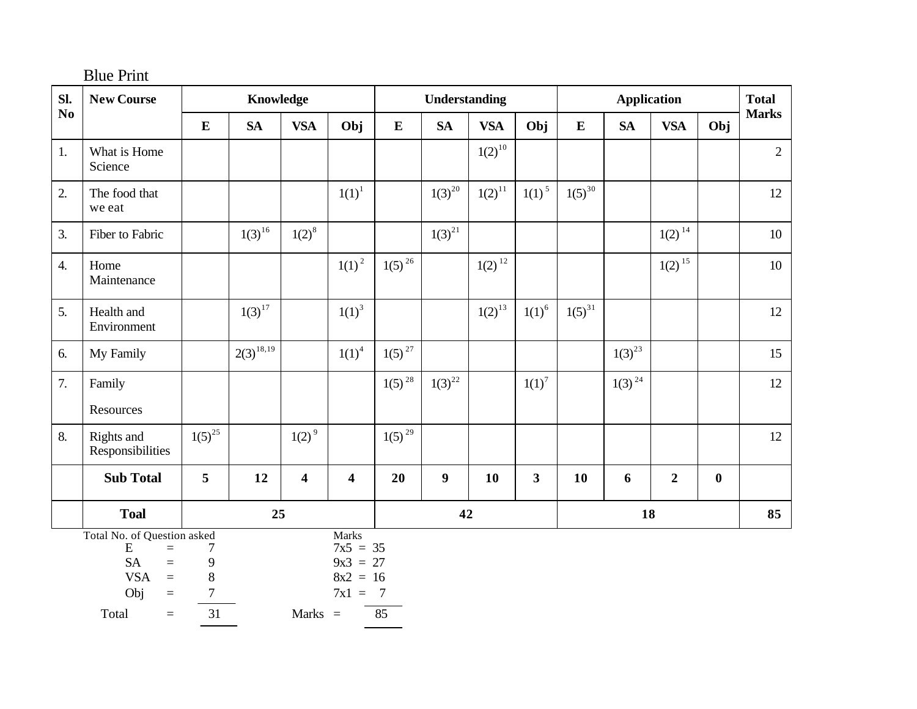| SI.              | <b>New Course</b>                                                                                                                |                                       | Knowledge      |                         |                                                                   |                      | Understanding    |             |                         |             | <b>Application</b> |                |          | <b>Total</b> |
|------------------|----------------------------------------------------------------------------------------------------------------------------------|---------------------------------------|----------------|-------------------------|-------------------------------------------------------------------|----------------------|------------------|-------------|-------------------------|-------------|--------------------|----------------|----------|--------------|
| No               |                                                                                                                                  | ${\bf E}$                             | <b>SA</b>      | <b>VSA</b>              | Obj                                                               | $\bf{E}$             | <b>SA</b>        | <b>VSA</b>  | Obj                     | ${\bf E}$   | <b>SA</b>          | <b>VSA</b>     | Obj      | <b>Marks</b> |
| 1.               | What is Home<br>Science                                                                                                          |                                       |                |                         |                                                                   |                      |                  | $1(2)^{10}$ |                         |             |                    |                |          | $\mathbf{2}$ |
| 2.               | The food that<br>we eat                                                                                                          |                                       |                |                         | $1(1)^{1}$                                                        |                      | $1(3)^{20}$      | $1(2)^{11}$ | $1(1)^{5}$              | $1(5)^{30}$ |                    |                |          | 12           |
| 3.               | Fiber to Fabric                                                                                                                  |                                       | $1(3)^{16}$    | $1(2)^{8}$              |                                                                   |                      | $1(3)^{21}$      |             |                         |             |                    | $1(2)^{14}$    |          | 10           |
| $\overline{4}$ . | Home<br>Maintenance                                                                                                              |                                       |                |                         | $1(1)^{2}$                                                        | $1(5)^{26}$          |                  | $1(2)^{12}$ |                         |             |                    | $1(2)^{15}$    |          | 10           |
| 5.               | Health and<br>Environment                                                                                                        |                                       | $1(3)^{17}$    |                         | $1(1)^3$                                                          |                      |                  | $1(2)^{13}$ | $1(1)^6$                | $1(5)^{31}$ |                    |                |          | 12           |
| 6.               | My Family                                                                                                                        |                                       | $2(3)^{18,19}$ |                         | $1(1)^4$                                                          | $1(5)^{27}$          |                  |             |                         |             | $1(3)^{23}$        |                |          | 15           |
| 7.               | Family<br>Resources                                                                                                              |                                       |                |                         |                                                                   | $1(5)^{28}$          | $1(3)^{22}$      |             | $1(1)^{7}$              |             | $1(3)^{24}$        |                |          | 12           |
| 8.               | Rights and<br>Responsibilities                                                                                                   | $1(5)^{25}$                           |                | $1(2)^9$                |                                                                   | $1(5)^{29}$          |                  |             |                         |             |                    |                |          | 12           |
|                  | <b>Sub Total</b>                                                                                                                 | 5                                     | 12             | $\overline{\mathbf{4}}$ | $\overline{\mathbf{4}}$                                           | 20                   | $\boldsymbol{9}$ | 10          | $\overline{\mathbf{3}}$ | 10          | 6                  | $\overline{2}$ | $\bf{0}$ |              |
|                  | <b>Toal</b>                                                                                                                      |                                       | 25             |                         |                                                                   |                      | 42               |             |                         |             | 18                 |                |          | 85           |
|                  | Total No. of Question asked<br>${\bf E}$<br>$=$<br><b>SA</b><br>$\equiv$<br><b>VSA</b><br>$\equiv$<br>Obj<br>$=$<br>Total<br>$=$ | 7<br>9<br>8<br>$\boldsymbol{7}$<br>31 |                | Marks $=$               | <b>Marks</b><br>$7x5 = 35$<br>$9x3 = 27$<br>$8x2 = 16$<br>$7x1 =$ | $\overline{7}$<br>85 |                  |             |                         |             |                    |                |          |              |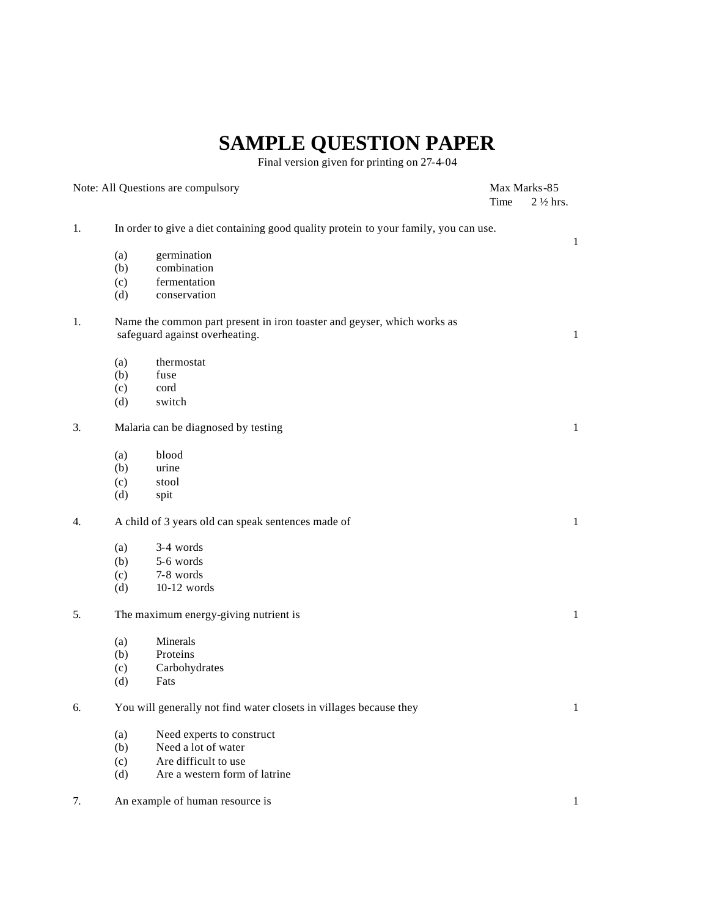# **SAMPLE QUESTION PAPER**

Final version given for printing on 27-4-04

|    |     | Note: All Questions are compulsory                                                                        |      | Max Marks-85        |
|----|-----|-----------------------------------------------------------------------------------------------------------|------|---------------------|
|    |     |                                                                                                           | Time | $2\frac{1}{2}$ hrs. |
| 1. |     | In order to give a diet containing good quality protein to your family, you can use.                      |      |                     |
|    | (a) | germination                                                                                               |      | 1                   |
|    | (b) | combination                                                                                               |      |                     |
|    | (c) | fermentation                                                                                              |      |                     |
|    | (d) | conservation                                                                                              |      |                     |
| 1. |     | Name the common part present in iron toaster and geyser, which works as<br>safeguard against overheating. |      | 1                   |
|    | (a) | thermostat                                                                                                |      |                     |
|    | (b) | fuse                                                                                                      |      |                     |
|    | (c) | cord                                                                                                      |      |                     |
|    | (d) | switch                                                                                                    |      |                     |
| 3. |     | Malaria can be diagnosed by testing                                                                       |      | 1                   |
|    | (a) | blood                                                                                                     |      |                     |
|    | (b) | urine                                                                                                     |      |                     |
|    | (c) | stool                                                                                                     |      |                     |
|    | (d) | spit                                                                                                      |      |                     |
| 4. |     | A child of 3 years old can speak sentences made of                                                        |      | $\mathbf{1}$        |
|    | (a) | 3-4 words                                                                                                 |      |                     |
|    | (b) | 5-6 words                                                                                                 |      |                     |
|    | (c) | 7-8 words                                                                                                 |      |                     |
|    | (d) | $10-12$ words                                                                                             |      |                     |
| 5. |     | The maximum energy-giving nutrient is                                                                     |      | 1                   |
|    | (a) | Minerals                                                                                                  |      |                     |
|    | (b) | Proteins                                                                                                  |      |                     |
|    | (c) | Carbohydrates                                                                                             |      |                     |
|    | (d) | Fats                                                                                                      |      |                     |
| 6. |     | You will generally not find water closets in villages because they                                        |      | $\mathbf{1}$        |
|    | (a) | Need experts to construct                                                                                 |      |                     |
|    | (b) | Need a lot of water                                                                                       |      |                     |
|    | (c) | Are difficult to use                                                                                      |      |                     |
|    | (d) | Are a western form of latrine                                                                             |      |                     |
| 7. |     | An example of human resource is                                                                           |      | 1                   |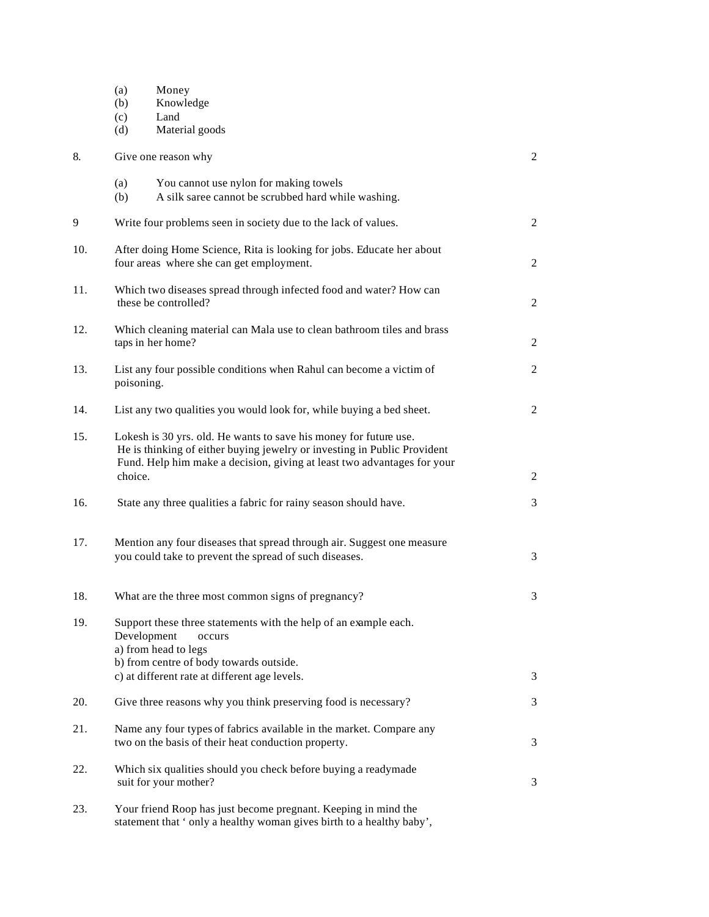|     | Money<br>(a)<br>Knowledge<br>(b)<br>Land<br>(c)<br>Material goods<br>(d)                                                                                                                                                            |                |
|-----|-------------------------------------------------------------------------------------------------------------------------------------------------------------------------------------------------------------------------------------|----------------|
| 8.  | Give one reason why                                                                                                                                                                                                                 | $\overline{c}$ |
|     | You cannot use nylon for making towels<br>(a)<br>A silk saree cannot be scrubbed hard while washing.<br>(b)                                                                                                                         |                |
| 9   | Write four problems seen in society due to the lack of values.                                                                                                                                                                      | $\overline{c}$ |
| 10. | After doing Home Science, Rita is looking for jobs. Educate her about<br>four areas where she can get employment.                                                                                                                   | 2              |
| 11. | Which two diseases spread through infected food and water? How can<br>these be controlled?                                                                                                                                          | 2              |
| 12. | Which cleaning material can Mala use to clean bathroom tiles and brass<br>taps in her home?                                                                                                                                         | $\overline{c}$ |
| 13. | List any four possible conditions when Rahul can become a victim of<br>poisoning.                                                                                                                                                   | 2              |
| 14. | List any two qualities you would look for, while buying a bed sheet.                                                                                                                                                                | 2              |
| 15. | Lokesh is 30 yrs. old. He wants to save his money for future use.<br>He is thinking of either buying jewelry or investing in Public Provident<br>Fund. Help him make a decision, giving at least two advantages for your<br>choice. | $\overline{c}$ |
| 16. | State any three qualities a fabric for rainy season should have.                                                                                                                                                                    | 3              |
| 17. | Mention any four diseases that spread through air. Suggest one measure<br>you could take to prevent the spread of such diseases.                                                                                                    | 3              |
| 18. | What are the three most common signs of pregnancy?                                                                                                                                                                                  | 3              |
| 19. | Support these three statements with the help of an example each.<br>Development<br>occurs<br>a) from head to legs<br>b) from centre of body towards outside.<br>c) at different rate at different age levels.                       | 3              |
| 20. | Give three reasons why you think preserving food is necessary?                                                                                                                                                                      | 3              |
| 21. | Name any four types of fabrics available in the market. Compare any<br>two on the basis of their heat conduction property.                                                                                                          | 3              |
| 22. | Which six qualities should you check before buying a readymade<br>suit for your mother?                                                                                                                                             | 3              |
| 23. | Your friend Roop has just become pregnant. Keeping in mind the<br>statement that 'only a healthy woman gives birth to a healthy baby',                                                                                              |                |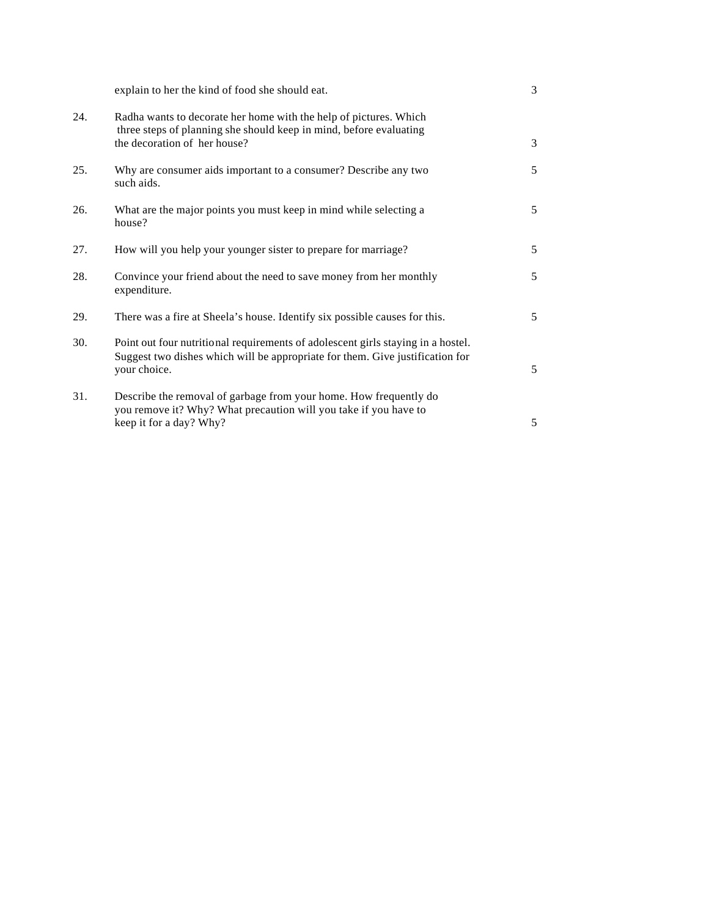|     | explain to her the kind of food she should eat.                                                                                                                                   | 3 |
|-----|-----------------------------------------------------------------------------------------------------------------------------------------------------------------------------------|---|
| 24. | Radha wants to decorate her home with the help of pictures. Which<br>three steps of planning she should keep in mind, before evaluating<br>the decoration of her house?           | 3 |
| 25. | Why are consumer aids important to a consumer? Describe any two<br>such aids.                                                                                                     | 5 |
| 26. | What are the major points you must keep in mind while selecting a<br>house?                                                                                                       | 5 |
| 27. | How will you help your younger sister to prepare for marriage?                                                                                                                    | 5 |
| 28. | Convince your friend about the need to save money from her monthly<br>expenditure.                                                                                                | 5 |
| 29. | There was a fire at Sheela's house. Identify six possible causes for this.                                                                                                        | 5 |
| 30. | Point out four nutritional requirements of adolescent girls staying in a hostel.<br>Suggest two dishes which will be appropriate for them. Give justification for<br>your choice. | 5 |
| 31. | Describe the removal of garbage from your home. How frequently do<br>you remove it? Why? What precaution will you take if you have to<br>keep it for a day? Why?                  | 5 |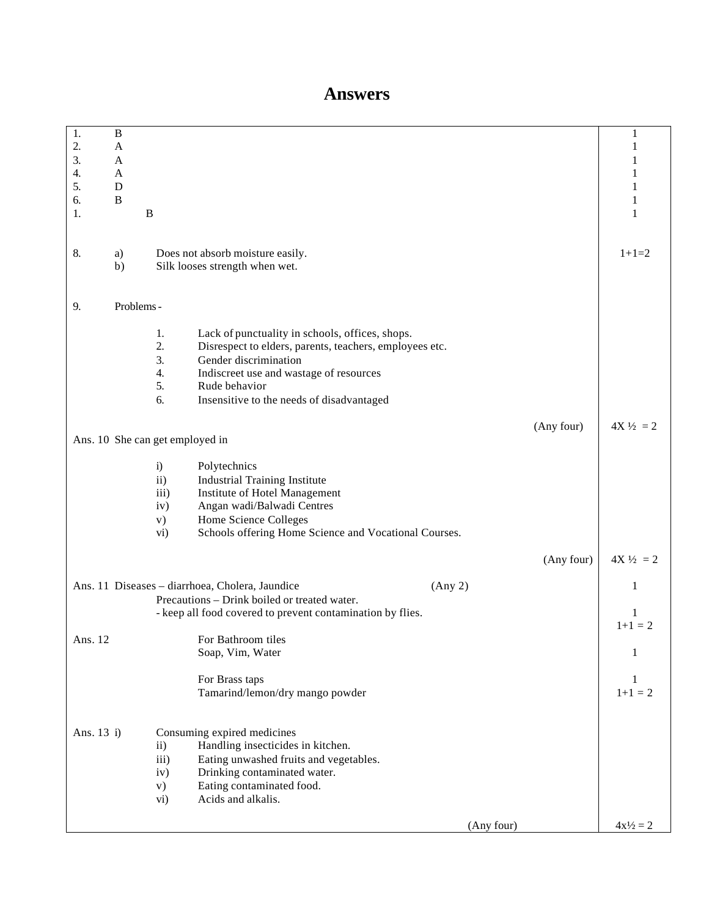# **Answers**

| 1.         | $\, {\bf B}$ |               |                                                            |            |            | 1                   |
|------------|--------------|---------------|------------------------------------------------------------|------------|------------|---------------------|
| 2.         | $\mathbf A$  |               |                                                            |            |            | 1                   |
|            |              |               |                                                            |            |            |                     |
| 3.         | A            |               |                                                            |            |            | 1                   |
| 4.         | A            |               |                                                            |            |            |                     |
| 5.         | D            |               |                                                            |            |            |                     |
|            |              |               |                                                            |            |            |                     |
| 6.         | B            |               |                                                            |            |            | 1                   |
| 1.         |              | $\, {\bf B}$  |                                                            |            |            | 1                   |
|            |              |               |                                                            |            |            |                     |
|            |              |               |                                                            |            |            |                     |
| 8.         | a)           |               | Does not absorb moisture easily.                           |            |            | $1+1=2$             |
|            |              |               |                                                            |            |            |                     |
|            | b)           |               | Silk looses strength when wet.                             |            |            |                     |
|            |              |               |                                                            |            |            |                     |
|            |              |               |                                                            |            |            |                     |
| 9.         | Problems -   |               |                                                            |            |            |                     |
|            |              |               |                                                            |            |            |                     |
|            |              |               |                                                            |            |            |                     |
|            |              | 1.            | Lack of punctuality in schools, offices, shops.            |            |            |                     |
|            |              | 2.            | Disrespect to elders, parents, teachers, employees etc.    |            |            |                     |
|            |              | 3.            | Gender discrimination                                      |            |            |                     |
|            |              | 4.            | Indiscreet use and wastage of resources                    |            |            |                     |
|            |              | 5.            | Rude behavior                                              |            |            |                     |
|            |              |               |                                                            |            |            |                     |
|            |              | 6.            | Insensitive to the needs of disadvantaged                  |            |            |                     |
|            |              |               |                                                            |            |            |                     |
|            |              |               |                                                            |            | (Any four) | $4X\frac{1}{2} = 2$ |
|            |              |               | Ans. 10 She can get employed in                            |            |            |                     |
|            |              |               |                                                            |            |            |                     |
|            |              |               |                                                            |            |            |                     |
|            |              | i)            | Polytechnics                                               |            |            |                     |
|            |              | $\mathbf{ii}$ | <b>Industrial Training Institute</b>                       |            |            |                     |
|            |              | iii)          | Institute of Hotel Management                              |            |            |                     |
|            |              | iv)           | Angan wadi/Balwadi Centres                                 |            |            |                     |
|            |              | V)            | Home Science Colleges                                      |            |            |                     |
|            |              |               |                                                            |            |            |                     |
|            |              | vi)           | Schools offering Home Science and Vocational Courses.      |            |            |                     |
|            |              |               |                                                            |            |            |                     |
|            |              |               |                                                            |            | (Any four) | $4X\frac{1}{2} = 2$ |
|            |              |               |                                                            |            |            |                     |
|            |              |               | Ans. 11 Diseases - diarrhoea, Cholera, Jaundice            | (Any 2)    |            | 1                   |
|            |              |               | Precautions - Drink boiled or treated water.               |            |            |                     |
|            |              |               |                                                            |            |            |                     |
|            |              |               | - keep all food covered to prevent contamination by flies. |            |            | 1                   |
|            |              |               |                                                            |            |            | $1+1 = 2$           |
| Ans. 12    |              |               | For Bathroom tiles                                         |            |            |                     |
|            |              |               | Soap, Vim, Water                                           |            |            | 1                   |
|            |              |               |                                                            |            |            |                     |
|            |              |               |                                                            |            |            |                     |
|            |              |               | For Brass taps                                             |            |            | 1                   |
|            |              |               | Tamarind/lemon/dry mango powder                            |            |            | $1+1=2$             |
|            |              |               |                                                            |            |            |                     |
|            |              |               |                                                            |            |            |                     |
| Ans. 13 i) |              |               | Consuming expired medicines                                |            |            |                     |
|            |              |               |                                                            |            |            |                     |
|            |              | $\mathbf{ii}$ | Handling insecticides in kitchen.                          |            |            |                     |
|            |              | iii)          | Eating unwashed fruits and vegetables.                     |            |            |                     |
|            |              | iv)           | Drinking contaminated water.                               |            |            |                     |
|            |              | $\mathbf{v})$ | Eating contaminated food.                                  |            |            |                     |
|            |              | vi)           | Acids and alkalis.                                         |            |            |                     |
|            |              |               |                                                            |            |            |                     |
|            |              |               |                                                            |            |            |                     |
|            |              |               |                                                            | (Any four) |            | $4x\frac{1}{2} = 2$ |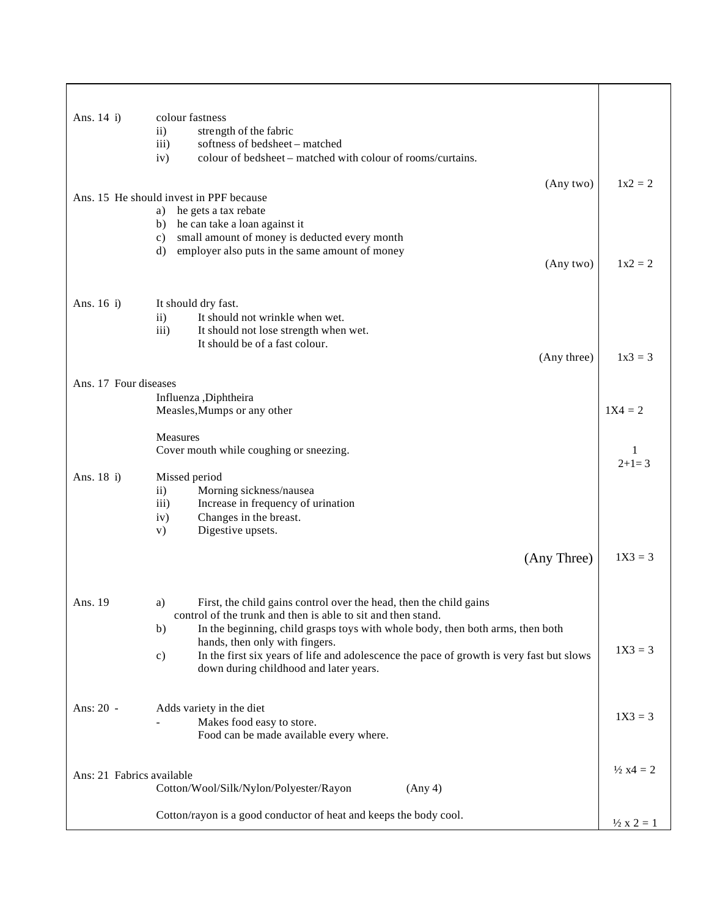| Ans. 14 i)                | colour fastness                                                                                                                             |                            |
|---------------------------|---------------------------------------------------------------------------------------------------------------------------------------------|----------------------------|
|                           | strength of the fabric<br>$\mathbf{ii}$                                                                                                     |                            |
|                           | iii)<br>softness of bedsheet - matched                                                                                                      |                            |
|                           | iv)<br>colour of bedsheet – matched with colour of rooms/curtains.                                                                          |                            |
|                           | (Any two)                                                                                                                                   | $1x^2 = 2$                 |
|                           | Ans. 15 He should invest in PPF because                                                                                                     |                            |
|                           | a) he gets a tax rebate<br>b) he can take a loan against it                                                                                 |                            |
|                           | small amount of money is deducted every month<br>c)                                                                                         |                            |
|                           | employer also puts in the same amount of money<br>d)                                                                                        |                            |
|                           | (Any two)                                                                                                                                   | $1x2 = 2$                  |
|                           |                                                                                                                                             |                            |
| Ans. 16 i)                | It should dry fast.                                                                                                                         |                            |
|                           | $\mathbf{ii}$<br>It should not wrinkle when wet.                                                                                            |                            |
|                           | iii)<br>It should not lose strength when wet.                                                                                               |                            |
|                           | It should be of a fast colour.                                                                                                              |                            |
|                           | (Any three)                                                                                                                                 | $1x3 = 3$                  |
| Ans. 17 Four diseases     |                                                                                                                                             |                            |
|                           | Influenza ,Diphtheira                                                                                                                       |                            |
|                           | Measles, Mumps or any other                                                                                                                 | $1X4 = 2$                  |
|                           | Measures                                                                                                                                    |                            |
|                           | Cover mouth while coughing or sneezing.                                                                                                     | 1                          |
|                           |                                                                                                                                             | $2+1=3$                    |
| Ans. 18 i)                | Missed period                                                                                                                               |                            |
|                           | $\mathbf{ii}$<br>Morning sickness/nausea<br>iii)<br>Increase in frequency of urination                                                      |                            |
|                           | Changes in the breast.<br>iv)                                                                                                               |                            |
|                           | Digestive upsets.<br>V)                                                                                                                     |                            |
|                           |                                                                                                                                             |                            |
|                           | (Any Three)                                                                                                                                 | $1X3 = 3$                  |
|                           |                                                                                                                                             |                            |
| Ans. 19                   | First, the child gains control over the head, then the child gains<br>a)                                                                    |                            |
|                           | control of the trunk and then is able to sit and then stand.                                                                                |                            |
|                           | In the beginning, child grasps toys with whole body, then both arms, then both<br>b)                                                        |                            |
|                           | hands, then only with fingers.<br>In the first six years of life and adolescence the pace of growth is very fast but slows<br>$\mathbf{c})$ | $1X3 = 3$                  |
|                           | down during childhood and later years.                                                                                                      |                            |
|                           |                                                                                                                                             |                            |
| Ans: 20 -                 | Adds variety in the diet                                                                                                                    |                            |
|                           | Makes food easy to store.                                                                                                                   | $1X3 = 3$                  |
|                           | Food can be made available every where.                                                                                                     |                            |
|                           |                                                                                                                                             |                            |
| Ans: 21 Fabrics available |                                                                                                                                             | $\frac{1}{2}$ x4 = 2       |
|                           | Cotton/Wool/Silk/Nylon/Polyester/Rayon<br>(Any 4)                                                                                           |                            |
|                           |                                                                                                                                             |                            |
|                           | Cotton/rayon is a good conductor of heat and keeps the body cool.                                                                           | $\frac{1}{2} \times 2 = 1$ |
|                           |                                                                                                                                             |                            |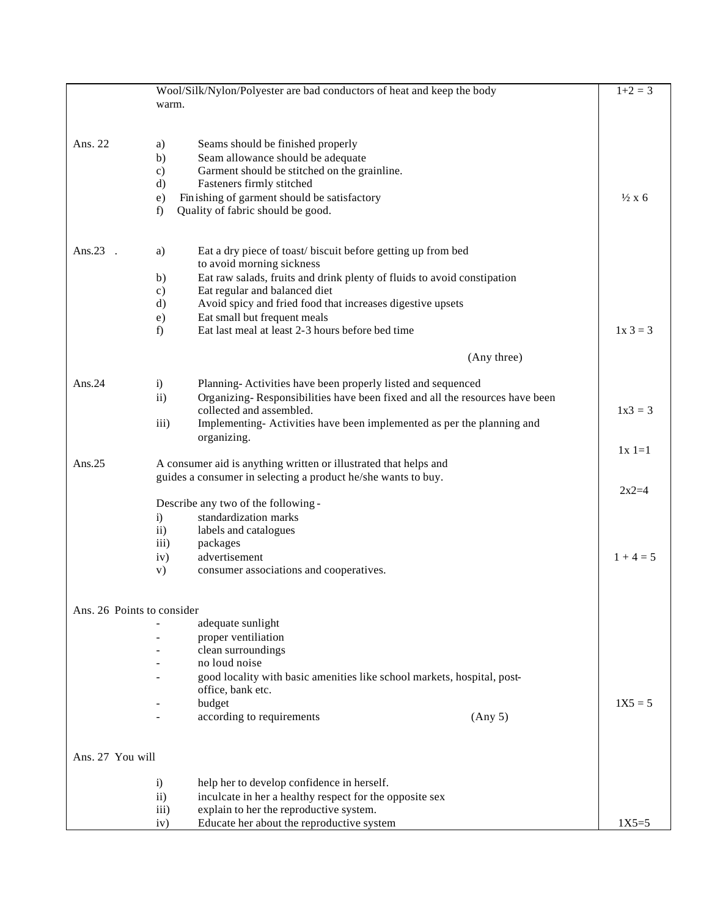|                            | Wool/Silk/Nylon/Polyester are bad conductors of heat and keep the body                                                            |                                                                                          |                  |
|----------------------------|-----------------------------------------------------------------------------------------------------------------------------------|------------------------------------------------------------------------------------------|------------------|
|                            | warm.                                                                                                                             |                                                                                          |                  |
|                            |                                                                                                                                   |                                                                                          |                  |
| Ans. 22                    | a)                                                                                                                                | Seams should be finished properly                                                        |                  |
|                            | b)                                                                                                                                | Seam allowance should be adequate                                                        |                  |
|                            | $\mathbf{c})$                                                                                                                     | Garment should be stitched on the grainline.                                             |                  |
|                            | $\rm d)$                                                                                                                          | Fasteners firmly stitched                                                                |                  |
|                            | e)                                                                                                                                | Finishing of garment should be satisfactory                                              | $\frac{1}{2}x$ 6 |
|                            | f)                                                                                                                                | Quality of fabric should be good.                                                        |                  |
| Ans. $23$                  | a)                                                                                                                                | Eat a dry piece of toast/biscuit before getting up from bed<br>to avoid morning sickness |                  |
|                            | b)                                                                                                                                | Eat raw salads, fruits and drink plenty of fluids to avoid constipation                  |                  |
|                            | $\mathbf{c})$                                                                                                                     | Eat regular and balanced diet                                                            |                  |
|                            | $\rm d$                                                                                                                           | Avoid spicy and fried food that increases digestive upsets                               |                  |
|                            | e)                                                                                                                                | Eat small but frequent meals                                                             |                  |
|                            | f                                                                                                                                 | Eat last meal at least 2-3 hours before bed time                                         | $1x 3 = 3$       |
|                            |                                                                                                                                   | (Any three)                                                                              |                  |
| Ans. $24$                  | i)                                                                                                                                | Planning-Activities have been properly listed and sequenced                              |                  |
|                            | $\mathbf{ii}$                                                                                                                     | Organizing-Responsibilities have been fixed and all the resources have been              |                  |
|                            |                                                                                                                                   | collected and assembled.                                                                 | $1x3 = 3$        |
|                            | iii)                                                                                                                              | Implementing-Activities have been implemented as per the planning and                    |                  |
|                            |                                                                                                                                   | organizing.                                                                              |                  |
| Ans. $25$                  |                                                                                                                                   |                                                                                          | $1x1=1$          |
|                            | A consumer aid is anything written or illustrated that helps and<br>guides a consumer in selecting a product he/she wants to buy. |                                                                                          |                  |
|                            |                                                                                                                                   |                                                                                          |                  |
|                            |                                                                                                                                   | Describe any two of the following -                                                      | $2x2=4$          |
|                            | i)                                                                                                                                | standardization marks                                                                    |                  |
|                            | $\mathbf{ii}$                                                                                                                     | labels and catalogues                                                                    |                  |
|                            | iii)                                                                                                                              | packages                                                                                 |                  |
|                            | iv)                                                                                                                               | advertisement                                                                            | $1 + 4 = 5$      |
|                            | V)                                                                                                                                | consumer associations and cooperatives.                                                  |                  |
| Ans. 26 Points to consider |                                                                                                                                   |                                                                                          |                  |
|                            |                                                                                                                                   | adequate sunlight                                                                        |                  |
|                            |                                                                                                                                   | proper ventiliation                                                                      |                  |
|                            |                                                                                                                                   | clean surroundings                                                                       |                  |
|                            |                                                                                                                                   | no loud noise                                                                            |                  |
|                            |                                                                                                                                   | good locality with basic amenities like school markets, hospital, post-                  |                  |
|                            |                                                                                                                                   | office, bank etc.                                                                        |                  |
|                            |                                                                                                                                   | budget                                                                                   | $1X5 = 5$        |
|                            |                                                                                                                                   | according to requirements<br>(Any 5)                                                     |                  |
| Ans. 27 You will           |                                                                                                                                   |                                                                                          |                  |
|                            | $\ddot{\mathbf{i}}$                                                                                                               | help her to develop confidence in herself.                                               |                  |
|                            | $\mathbf{ii}$                                                                                                                     | inculcate in her a healthy respect for the opposite sex                                  |                  |
|                            | iii)                                                                                                                              | explain to her the reproductive system.                                                  |                  |
|                            | iv)                                                                                                                               | Educate her about the reproductive system                                                | $1X5=5$          |